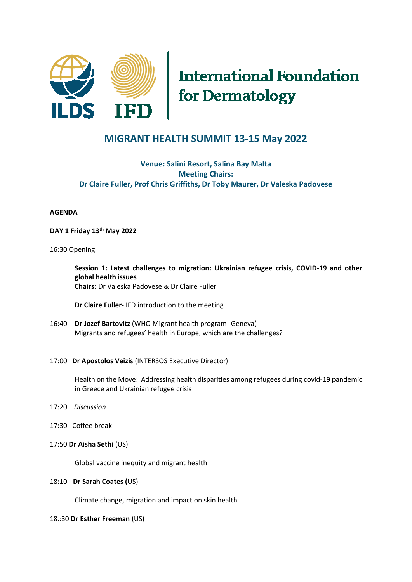

# **International Foundation** for Dermatology

# **MIGRANT HEALTH SUMMIT 13-15 May 2022**

# **Venue: Salini Resort, Salina Bay Malta Meeting Chairs: Dr Claire Fuller, Prof Chris Griffiths, Dr Toby Maurer, Dr Valeska Padovese**

# **AGENDA**

**DAY 1 Friday 13th May 2022**

# 16:30 Opening

**Session 1: Latest challenges to migration: Ukrainian refugee crisis, COVID-19 and other global health issues**

**Chairs:** Dr Valeska Padovese & Dr Claire Fuller

**Dr Claire Fuller-** IFD introduction to the meeting

16:40 **Dr Jozef Bartovitz** (WHO Migrant health program -Geneva) Migrants and refugees' health in Europe, which are the challenges?

#### 17:00 **Dr Apostolos Veizis** (INTERSOS Executive Director)

Health on the Move: Addressing health disparities among refugees during covid-19 pandemic in Greece and Ukrainian refugee crisis

- 17:20 *Discussion*
- 17:30 Coffee break
- 17:50 **Dr Aisha Sethi** (US)

Global vaccine inequity and migrant health

# 18:10 - **Dr Sarah Coates (**US)

Climate change, migration and impact on skin health

18.:30 **Dr Esther Freeman** (US)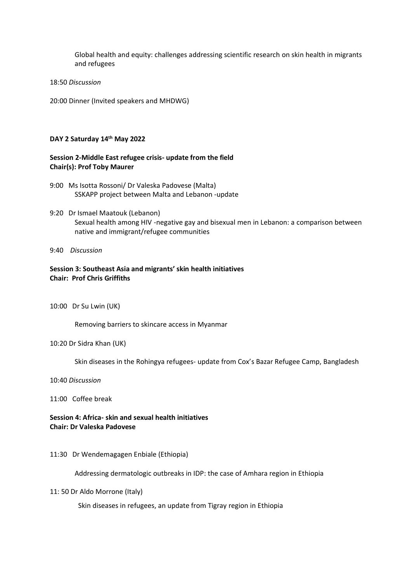Global health and equity: challenges addressing scientific research on skin health in migrants and refugees

#### 18:50 *Discussion*

20:00 Dinner (Invited speakers and MHDWG)

#### **DAY 2 Saturday 14th May 2022**

# **Session 2-Middle East refugee crisis- update from the field Chair(s): Prof Toby Maurer**

- 9:00 Ms Isotta Rossoni/ Dr Valeska Padovese (Malta) SSKAPP project between Malta and Lebanon -update
- 9:20 Dr Ismael Maatouk (Lebanon) Sexual health among HIV -negative gay and bisexual men in Lebanon: a comparison between native and immigrant/refugee communities
- 9:40 *Discussion*

# **Session 3: Southeast Asia and migrants' skin health initiatives Chair: Prof Chris Griffiths**

10:00 Dr Su Lwin (UK)

Removing barriers to skincare access in Myanmar

10:20 Dr Sidra Khan (UK)

Skin diseases in the Rohingya refugees- update from Cox's Bazar Refugee Camp, Bangladesh

10:40 *Discussion*

11:00 Coffee break

**Session 4: Africa- skin and sexual health initiatives Chair: Dr Valeska Padovese** 

11:30 Dr Wendemagagen Enbiale (Ethiopia)

Addressing dermatologic outbreaks in IDP: the case of Amhara region in Ethiopia

11: 50 Dr Aldo Morrone (Italy)

Skin diseases in refugees, an update from Tigray region in Ethiopia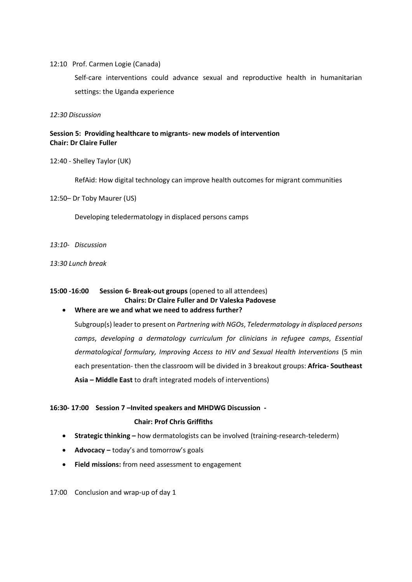#### 12:10 Prof. Carmen Logie (Canada)

Self-care interventions could advance sexual and reproductive health in humanitarian settings: the Uganda experience

*12:30 Discussion* 

# **Session 5: Providing healthcare to migrants- new models of intervention Chair: Dr Claire Fuller**

12:40 - Shelley Taylor (UK)

RefAid: How digital technology can improve health outcomes for migrant communities

12:50– Dr Toby Maurer (US)

Developing teledermatology in displaced persons camps

*13:10- Discussion*

*13:30 Lunch break* 

#### **15:00 -16:00 Session 6- Break-out groups** (opened to all attendees) **Chairs: Dr Claire Fuller and Dr Valeska Padovese**

#### • **Where are we and what we need to address further?**

Subgroup(s) leader to present on *Partnering with NGOs*, *Teledermatology in displaced persons camps*, *developing a dermatology curriculum for clinicians in refugee camps*, *Essential dermatological formulary, Improving Access to HIV and Sexual Health Interventions* (5 min each presentation- then the classroom will be divided in 3 breakout groups: **Africa- Southeast Asia – Middle East** to draft integrated models of interventions)

#### **16:30- 17:00 Session 7 –Invited speakers and MHDWG Discussion -**

#### **Chair: Prof Chris Griffiths**

- **Strategic thinking –** how dermatologists can be involved (training-research-telederm)
- **Advocacy –** today's and tomorrow's goals
- **Field missions:** from need assessment to engagement

17:00 Conclusion and wrap-up of day 1